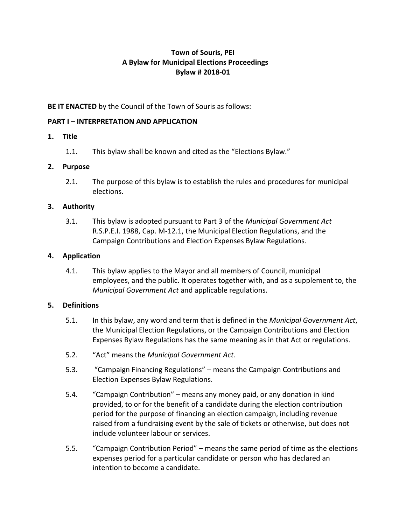# **Town of Souris, PEI A Bylaw for Municipal Elections Proceedings Bylaw # 2018-01**

## **BE IT ENACTED** by the Council of the Town of Souris as follows:

### **PART I – INTERPRETATION AND APPLICATION**

### **1. Title**

1.1. This bylaw shall be known and cited as the "Elections Bylaw."

### **2. Purpose**

2.1. The purpose of this bylaw is to establish the rules and procedures for municipal elections.

### **3. Authority**

3.1. This bylaw is adopted pursuant to Part 3 of the *Municipal Government Act*  R.S.P.E.I. 1988, Cap. M-12.1, the Municipal Election Regulations, and the Campaign Contributions and Election Expenses Bylaw Regulations.

### **4. Application**

4.1. This bylaw applies to the Mayor and all members of Council, municipal employees, and the public. It operates together with, and as a supplement to, the *Municipal Government Act* and applicable regulations.

### **5. Definitions**

- 5.1. In this bylaw, any word and term that is defined in the *Municipal Government Act*, the Municipal Election Regulations, or the Campaign Contributions and Election Expenses Bylaw Regulations has the same meaning as in that Act or regulations.
- 5.2. "Act" means the *Municipal Government Act*.
- 5.3. "Campaign Financing Regulations" means the Campaign Contributions and Election Expenses Bylaw Regulations.
- 5.4. "Campaign Contribution" means any money paid, or any donation in kind provided, to or for the benefit of a candidate during the election contribution period for the purpose of financing an election campaign, including revenue raised from a fundraising event by the sale of tickets or otherwise, but does not include volunteer labour or services.
- 5.5. "Campaign Contribution Period" means the same period of time as the elections expenses period for a particular candidate or person who has declared an intention to become a candidate.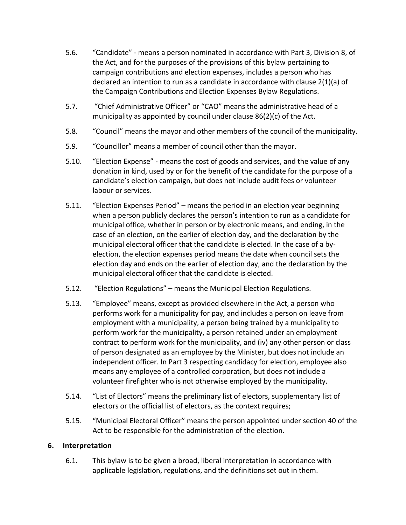- 5.6. "Candidate" means a person nominated in accordance with Part 3, Division 8, of the Act, and for the purposes of the provisions of this bylaw pertaining to campaign contributions and election expenses, includes a person who has declared an intention to run as a candidate in accordance with clause 2(1)(a) of the Campaign Contributions and Election Expenses Bylaw Regulations.
- 5.7. "Chief Administrative Officer" or "CAO" means the administrative head of a municipality as appointed by council under clause 86(2)(c) of the Act*.*
- 5.8. "Council" means the mayor and other members of the council of the municipality.
- 5.9. "Councillor" means a member of council other than the mayor.
- 5.10. "Election Expense" means the cost of goods and services, and the value of any donation in kind, used by or for the benefit of the candidate for the purpose of a candidate's election campaign, but does not include audit fees or volunteer labour or services.
- 5.11. "Election Expenses Period" means the period in an election year beginning when a person publicly declares the person's intention to run as a candidate for municipal office, whether in person or by electronic means, and ending, in the case of an election, on the earlier of election day, and the declaration by the municipal electoral officer that the candidate is elected. In the case of a byelection, the election expenses period means the date when council sets the election day and ends on the earlier of election day, and the declaration by the municipal electoral officer that the candidate is elected.
- 5.12. "Election Regulations" means the Municipal Election Regulations.
- 5.13. "Employee" means, except as provided elsewhere in the Act, a person who performs work for a municipality for pay, and includes a person on leave from employment with a municipality, a person being trained by a municipality to perform work for the municipality, a person retained under an employment contract to perform work for the municipality, and (iv) any other person or class of person designated as an employee by the Minister, but does not include an independent officer. In Part 3 respecting candidacy for election, employee also means any employee of a controlled corporation, but does not include a volunteer firefighter who is not otherwise employed by the municipality.
- 5.14. "List of Electors" means the preliminary list of electors, supplementary list of electors or the official list of electors, as the context requires;
- 5.15. "Municipal Electoral Officer" means the person appointed under section 40 of the Act to be responsible for the administration of the election.

## **6. Interpretation**

6.1. This bylaw is to be given a broad, liberal interpretation in accordance with applicable legislation, regulations, and the definitions set out in them.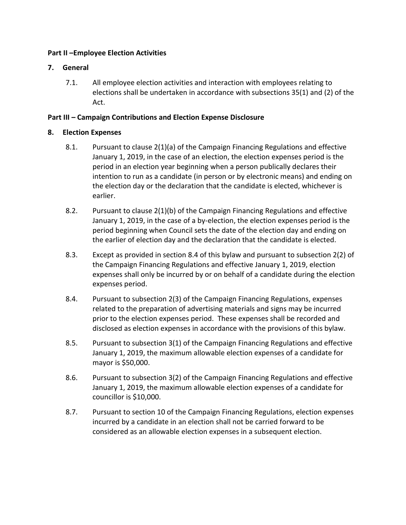### **Part II –Employee Election Activities**

### **7. General**

7.1. All employee election activities and interaction with employees relating to elections shall be undertaken in accordance with subsections 35(1) and (2) of the Act.

### **Part III – Campaign Contributions and Election Expense Disclosure**

### **8. Election Expenses**

- 8.1. Pursuant to clause 2(1)(a) of the Campaign Financing Regulations and effective January 1, 2019, in the case of an election, the election expenses period is the period in an election year beginning when a person publically declares their intention to run as a candidate (in person or by electronic means) and ending on the election day or the declaration that the candidate is elected, whichever is earlier.
- 8.2. Pursuant to clause 2(1)(b) of the Campaign Financing Regulations and effective January 1, 2019, in the case of a by-election, the election expenses period is the period beginning when Council sets the date of the election day and ending on the earlier of election day and the declaration that the candidate is elected.
- 8.3. Except as provided in section 8.4 of this bylaw and pursuant to subsection 2(2) of the Campaign Financing Regulations and effective January 1, 2019, election expenses shall only be incurred by or on behalf of a candidate during the election expenses period.
- 8.4. Pursuant to subsection 2(3) of the Campaign Financing Regulations, expenses related to the preparation of advertising materials and signs may be incurred prior to the election expenses period. These expenses shall be recorded and disclosed as election expenses in accordance with the provisions of this bylaw.
- 8.5. Pursuant to subsection 3(1) of the Campaign Financing Regulations and effective January 1, 2019, the maximum allowable election expenses of a candidate for mayor is \$50,000.
- 8.6. Pursuant to subsection 3(2) of the Campaign Financing Regulations and effective January 1, 2019, the maximum allowable election expenses of a candidate for councillor is \$10,000.
- 8.7. Pursuant to section 10 of the Campaign Financing Regulations, election expenses incurred by a candidate in an election shall not be carried forward to be considered as an allowable election expenses in a subsequent election.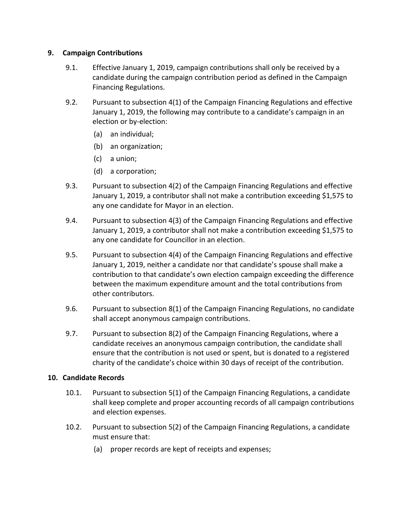### **9. Campaign Contributions**

- 9.1. Effective January 1, 2019, campaign contributions shall only be received by a candidate during the campaign contribution period as defined in the Campaign Financing Regulations.
- 9.2. Pursuant to subsection 4(1) of the Campaign Financing Regulations and effective January 1, 2019, the following may contribute to a candidate's campaign in an election or by-election:
	- (a) an individual;
	- (b) an organization;
	- (c) a union;
	- (d) a corporation;
- 9.3. Pursuant to subsection 4(2) of the Campaign Financing Regulations and effective January 1, 2019, a contributor shall not make a contribution exceeding \$1,575 to any one candidate for Mayor in an election.
- 9.4. Pursuant to subsection 4(3) of the Campaign Financing Regulations and effective January 1, 2019, a contributor shall not make a contribution exceeding \$1,575 to any one candidate for Councillor in an election.
- 9.5. Pursuant to subsection 4(4) of the Campaign Financing Regulations and effective January 1, 2019, neither a candidate nor that candidate's spouse shall make a contribution to that candidate's own election campaign exceeding the difference between the maximum expenditure amount and the total contributions from other contributors.
- 9.6. Pursuant to subsection 8(1) of the Campaign Financing Regulations, no candidate shall accept anonymous campaign contributions.
- 9.7. Pursuant to subsection 8(2) of the Campaign Financing Regulations, where a candidate receives an anonymous campaign contribution, the candidate shall ensure that the contribution is not used or spent, but is donated to a registered charity of the candidate's choice within 30 days of receipt of the contribution.

## **10. Candidate Records**

- 10.1. Pursuant to subsection 5(1) of the Campaign Financing Regulations, a candidate shall keep complete and proper accounting records of all campaign contributions and election expenses.
- 10.2. Pursuant to subsection 5(2) of the Campaign Financing Regulations, a candidate must ensure that:
	- (a) proper records are kept of receipts and expenses;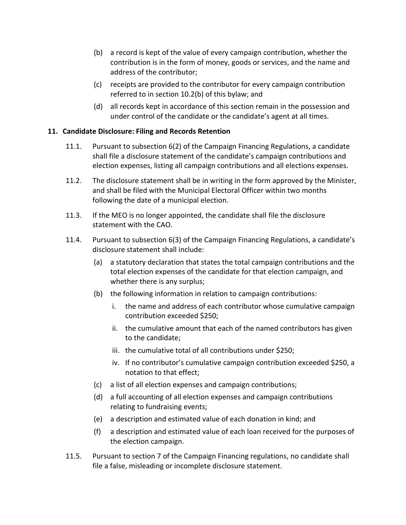- (b) a record is kept of the value of every campaign contribution, whether the contribution is in the form of money, goods or services, and the name and address of the contributor;
- (c) receipts are provided to the contributor for every campaign contribution referred to in section 10.2(b) of this bylaw; and
- (d) all records kept in accordance of this section remain in the possession and under control of the candidate or the candidate's agent at all times.

## **11. Candidate Disclosure: Filing and Records Retention**

- 11.1. Pursuant to subsection 6(2) of the Campaign Financing Regulations, a candidate shall file a disclosure statement of the candidate's campaign contributions and election expenses, listing all campaign contributions and all elections expenses.
- 11.2. The disclosure statement shall be in writing in the form approved by the Minister, and shall be filed with the Municipal Electoral Officer within two months following the date of a municipal election.
- 11.3. If the MEO is no longer appointed, the candidate shall file the disclosure statement with the CAO.
- 11.4. Pursuant to subsection 6(3) of the Campaign Financing Regulations, a candidate's disclosure statement shall include:
	- (a) a statutory declaration that states the total campaign contributions and the total election expenses of the candidate for that election campaign, and whether there is any surplus;
	- (b) the following information in relation to campaign contributions:
		- i. the name and address of each contributor whose cumulative campaign contribution exceeded \$250;
		- ii. the cumulative amount that each of the named contributors has given to the candidate;
		- iii. the cumulative total of all contributions under \$250;
		- iv. If no contributor's cumulative campaign contribution exceeded \$250, a notation to that effect;
	- (c) a list of all election expenses and campaign contributions;
	- (d) a full accounting of all election expenses and campaign contributions relating to fundraising events;
	- (e) a description and estimated value of each donation in kind; and
	- (f) a description and estimated value of each loan received for the purposes of the election campaign.
- 11.5. Pursuant to section 7 of the Campaign Financing regulations, no candidate shall file a false, misleading or incomplete disclosure statement.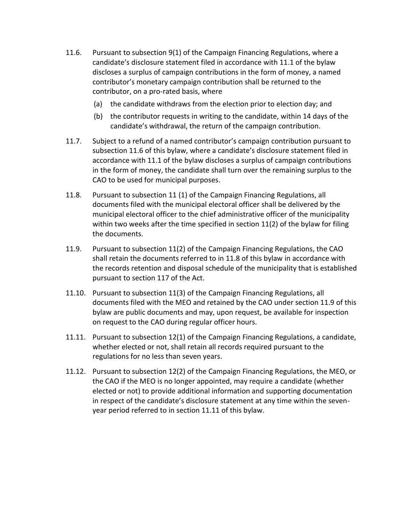- 11.6. Pursuant to subsection 9(1) of the Campaign Financing Regulations, where a candidate's disclosure statement filed in accordance with 11.1 of the bylaw discloses a surplus of campaign contributions in the form of money, a named contributor's monetary campaign contribution shall be returned to the contributor, on a pro-rated basis, where
	- (a) the candidate withdraws from the election prior to election day; and
	- (b) the contributor requests in writing to the candidate, within 14 days of the candidate's withdrawal, the return of the campaign contribution.
- 11.7. Subject to a refund of a named contributor's campaign contribution pursuant to subsection 11.6 of this bylaw, where a candidate's disclosure statement filed in accordance with 11.1 of the bylaw discloses a surplus of campaign contributions in the form of money, the candidate shall turn over the remaining surplus to the CAO to be used for municipal purposes.
- 11.8. Pursuant to subsection 11 (1) of the Campaign Financing Regulations, all documents filed with the municipal electoral officer shall be delivered by the municipal electoral officer to the chief administrative officer of the municipality within two weeks after the time specified in section  $11(2)$  of the bylaw for filing the documents.
- 11.9. Pursuant to subsection 11(2) of the Campaign Financing Regulations, the CAO shall retain the documents referred to in 11.8 of this bylaw in accordance with the records retention and disposal schedule of the municipality that is established pursuant to section 117 of the Act.
- 11.10. Pursuant to subsection 11(3) of the Campaign Financing Regulations, all documents filed with the MEO and retained by the CAO under section 11.9 of this bylaw are public documents and may, upon request, be available for inspection on request to the CAO during regular officer hours.
- 11.11. Pursuant to subsection 12(1) of the Campaign Financing Regulations, a candidate, whether elected or not, shall retain all records required pursuant to the regulations for no less than seven years.
- 11.12. Pursuant to subsection 12(2) of the Campaign Financing Regulations, the MEO, or the CAO if the MEO is no longer appointed, may require a candidate (whether elected or not) to provide additional information and supporting documentation in respect of the candidate's disclosure statement at any time within the sevenyear period referred to in section 11.11 of this bylaw.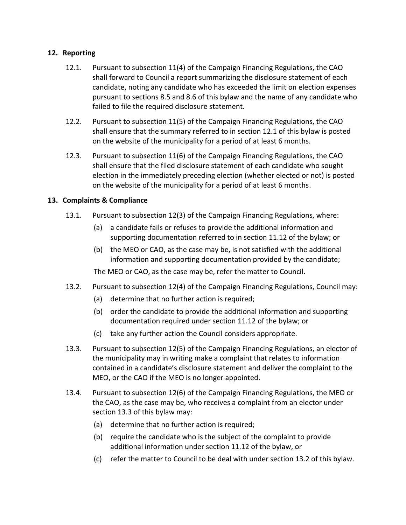## **12. Reporting**

- 12.1. Pursuant to subsection 11(4) of the Campaign Financing Regulations, the CAO shall forward to Council a report summarizing the disclosure statement of each candidate, noting any candidate who has exceeded the limit on election expenses pursuant to sections 8.5 and 8.6 of this bylaw and the name of any candidate who failed to file the required disclosure statement.
- 12.2. Pursuant to subsection 11(5) of the Campaign Financing Regulations, the CAO shall ensure that the summary referred to in section 12.1 of this bylaw is posted on the website of the municipality for a period of at least 6 months.
- 12.3. Pursuant to subsection 11(6) of the Campaign Financing Regulations, the CAO shall ensure that the filed disclosure statement of each candidate who sought election in the immediately preceding election (whether elected or not) is posted on the website of the municipality for a period of at least 6 months.

### **13. Complaints & Compliance**

- 13.1. Pursuant to subsection 12(3) of the Campaign Financing Regulations, where:
	- (a) a candidate fails or refuses to provide the additional information and supporting documentation referred to in section 11.12 of the bylaw; or
	- (b) the MEO or CAO, as the case may be, is not satisfied with the additional information and supporting documentation provided by the candidate;

The MEO or CAO, as the case may be, refer the matter to Council.

- 13.2. Pursuant to subsection 12(4) of the Campaign Financing Regulations, Council may:
	- (a) determine that no further action is required;
	- (b) order the candidate to provide the additional information and supporting documentation required under section 11.12 of the bylaw; or
	- (c) take any further action the Council considers appropriate.
- 13.3. Pursuant to subsection 12(5) of the Campaign Financing Regulations, an elector of the municipality may in writing make a complaint that relates to information contained in a candidate's disclosure statement and deliver the complaint to the MEO, or the CAO if the MEO is no longer appointed.
- 13.4. Pursuant to subsection 12(6) of the Campaign Financing Regulations, the MEO or the CAO, as the case may be, who receives a complaint from an elector under section 13.3 of this bylaw may:
	- (a) determine that no further action is required;
	- (b) require the candidate who is the subject of the complaint to provide additional information under section 11.12 of the bylaw, or
	- (c) refer the matter to Council to be deal with under section 13.2 of this bylaw.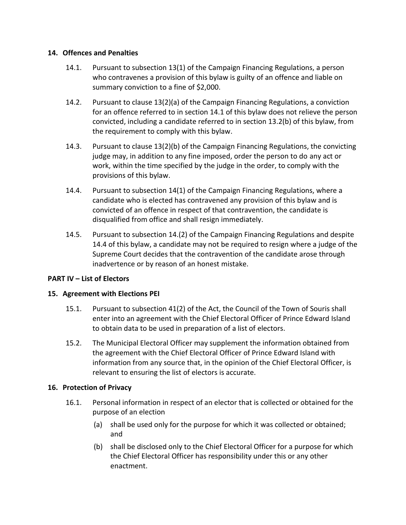### **14. Offences and Penalties**

- 14.1. Pursuant to subsection 13(1) of the Campaign Financing Regulations, a person who contravenes a provision of this bylaw is guilty of an offence and liable on summary conviction to a fine of \$2,000.
- 14.2. Pursuant to clause 13(2)(a) of the Campaign Financing Regulations, a conviction for an offence referred to in section 14.1 of this bylaw does not relieve the person convicted, including a candidate referred to in section 13.2(b) of this bylaw, from the requirement to comply with this bylaw.
- 14.3. Pursuant to clause 13(2)(b) of the Campaign Financing Regulations, the convicting judge may, in addition to any fine imposed, order the person to do any act or work, within the time specified by the judge in the order, to comply with the provisions of this bylaw.
- 14.4. Pursuant to subsection 14(1) of the Campaign Financing Regulations, where a candidate who is elected has contravened any provision of this bylaw and is convicted of an offence in respect of that contravention, the candidate is disqualified from office and shall resign immediately.
- 14.5. Pursuant to subsection 14.(2) of the Campaign Financing Regulations and despite 14.4 of this bylaw, a candidate may not be required to resign where a judge of the Supreme Court decides that the contravention of the candidate arose through inadvertence or by reason of an honest mistake.

## **PART IV – List of Electors**

### **15. Agreement with Elections PEI**

- 15.1. Pursuant to subsection 41(2) of the Act, the Council of the Town of Souris shall enter into an agreement with the Chief Electoral Officer of Prince Edward Island to obtain data to be used in preparation of a list of electors.
- 15.2. The Municipal Electoral Officer may supplement the information obtained from the agreement with the Chief Electoral Officer of Prince Edward Island with information from any source that, in the opinion of the Chief Electoral Officer, is relevant to ensuring the list of electors is accurate.

### **16. Protection of Privacy**

- 16.1. Personal information in respect of an elector that is collected or obtained for the purpose of an election
	- (a) shall be used only for the purpose for which it was collected or obtained; and
	- (b) shall be disclosed only to the Chief Electoral Officer for a purpose for which the Chief Electoral Officer has responsibility under this or any other enactment.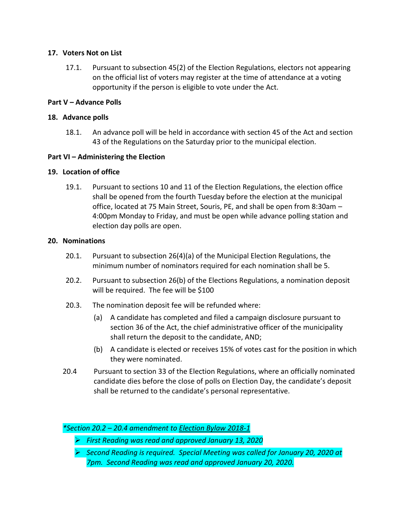### **17. Voters Not on List**

17.1. Pursuant to subsection 45(2) of the Election Regulations, electors not appearing on the official list of voters may register at the time of attendance at a voting opportunity if the person is eligible to vote under the Act.

## **Part V – Advance Polls**

### **18. Advance polls**

18.1. An advance poll will be held in accordance with section 45 of the Act and section 43 of the Regulations on the Saturday prior to the municipal election.

### **Part VI – Administering the Election**

### **19. Location of office**

19.1. Pursuant to sections 10 and 11 of the Election Regulations, the election office shall be opened from the fourth Tuesday before the election at the municipal office, located at 75 Main Street, Souris, PE, and shall be open from 8:30am – 4:00pm Monday to Friday, and must be open while advance polling station and election day polls are open.

### **20. Nominations**

- 20.1. Pursuant to subsection 26(4)(a) of the Municipal Election Regulations, the minimum number of nominators required for each nomination shall be 5.
- 20.2. Pursuant to subsection 26(b) of the Elections Regulations, a nomination deposit will be required. The fee will be \$100
- 20.3. The nomination deposit fee will be refunded where:
	- (a) A candidate has completed and filed a campaign disclosure pursuant to section 36 of the Act, the chief administrative officer of the municipality shall return the deposit to the candidate, AND;
	- (b) A candidate is elected or receives 15% of votes cast for the position in which they were nominated.
- 20.4 Pursuant to section 33 of the Election Regulations, where an officially nominated candidate dies before the close of polls on Election Day, the candidate's deposit shall be returned to the candidate's personal representative.

*\*Section 20.2 – 20.4 amendment to Election Bylaw 2018-1*

- ➢ *First Reading was read and approved January 13, 2020*
- ➢ *Second Reading is required. Special Meeting was called for January 20, 2020 at 7pm. Second Reading was read and approved January 20, 2020.*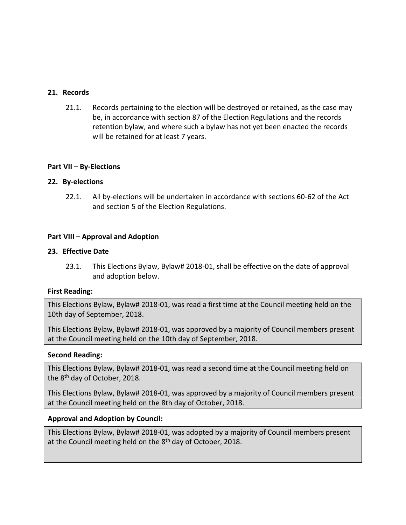#### **21. Records**

21.1. Records pertaining to the election will be destroyed or retained, as the case may be, in accordance with section 87 of the Election Regulations and the records retention bylaw, and where such a bylaw has not yet been enacted the records will be retained for at least 7 years.

#### **Part VII – By-Elections**

#### **22. By-elections**

22.1. All by-elections will be undertaken in accordance with sections 60-62 of the Act and section 5 of the Election Regulations.

#### **Part VIII – Approval and Adoption**

#### **23. Effective Date**

23.1. This Elections Bylaw, Bylaw# 2018-01, shall be effective on the date of approval and adoption below.

#### **First Reading:**

This Elections Bylaw, Bylaw# 2018-01, was read a first time at the Council meeting held on the 10th day of September, 2018.

This Elections Bylaw, Bylaw# 2018-01, was approved by a majority of Council members present at the Council meeting held on the 10th day of September, 2018.

#### **Second Reading:**

This Elections Bylaw, Bylaw# 2018-01, was read a second time at the Council meeting held on the 8<sup>th</sup> day of October, 2018.

This Elections Bylaw, Bylaw# 2018-01, was approved by a majority of Council members present at the Council meeting held on the 8th day of October, 2018.

### **Approval and Adoption by Council:**

This Elections Bylaw, Bylaw# 2018-01, was adopted by a majority of Council members present at the Council meeting held on the 8<sup>th</sup> day of October, 2018.